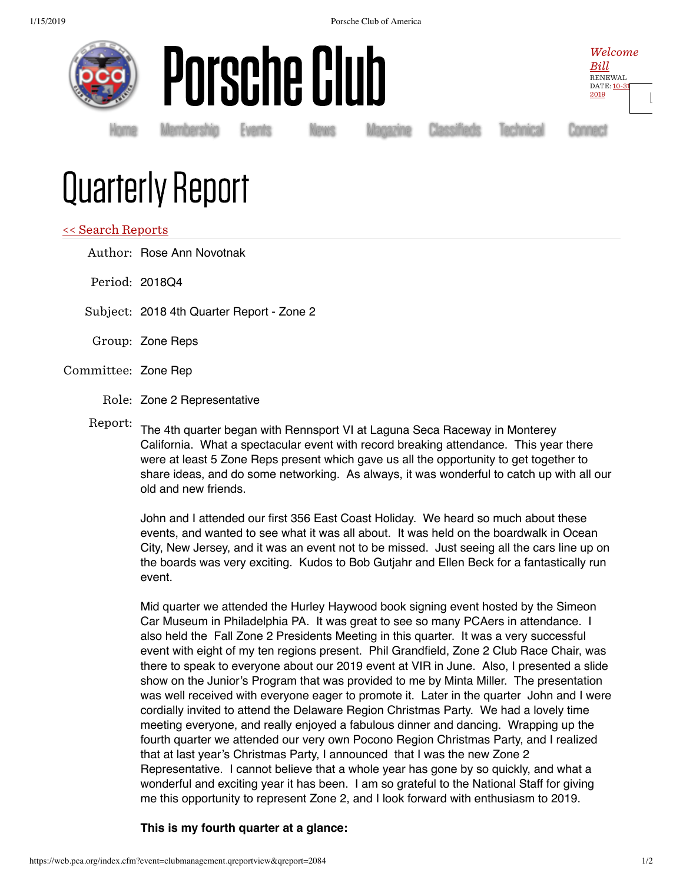



Homė Membership Events News Magazine Classifieds Technical Connect

Welcome  $Bill$ RENEWAL DATE: 10-31 2019

[Ŀ](https://web.pca.org/index.cfm?event=general.logout)

## Quarterly Report

## << Search Reports

Author: Rose Ann Novotnak

Period: 2018Q4

Subject: 2018 4th Quarter Report - Zone 2

- Group: Zone Reps
- Committee: Zone Rep
	- Role: Zone 2 Representative
	-

Report: The 4th quarter began with Rennsport VI at Laguna Seca Raceway in Monterey California. What a spectacular event with record breaking attendance. This year there were at least 5 Zone Reps present which gave us all the opportunity to get together to share ideas, and do some networking. As always, it was wonderful to catch up with all our old and new friends.

John and I attended our first 356 East Coast Holiday. We heard so much about these events, and wanted to see what it was all about. It was held on the boardwalk in Ocean City, New Jersey, and it was an event not to be missed. Just seeing all the cars line up on the boards was very exciting. Kudos to Bob Gutjahr and Ellen Beck for a fantastically run event.

Mid quarter we attended the Hurley Haywood book signing event hosted by the Simeon Car Museum in Philadelphia PA. It was great to see so many PCAers in attendance. I also held the Fall Zone 2 Presidents Meeting in this quarter. It was a very successful event with eight of my ten regions present. Phil Grandfield, Zone 2 Club Race Chair, was there to speak to everyone about our 2019 event at VIR in June. Also, I presented a slide show on the Junior's Program that was provided to me by Minta Miller. The presentation was well received with everyone eager to promote it. Later in the quarter John and I were cordially invited to attend the Delaware Region Christmas Party. We had a lovely time meeting everyone, and really enjoyed a fabulous dinner and dancing. Wrapping up the fourth quarter we attended our very own Pocono Region Christmas Party, and I realized that at last year's Christmas Party, I announced that I was the new Zone 2 Representative. I cannot believe that a whole year has gone by so quickly, and what a wonderful and exciting year it has been. I am so grateful to the National Staff for giving me this opportunity to represent Zone 2, and I look forward with enthusiasm to 2019.

**This is my fourth quarter at a glance:**